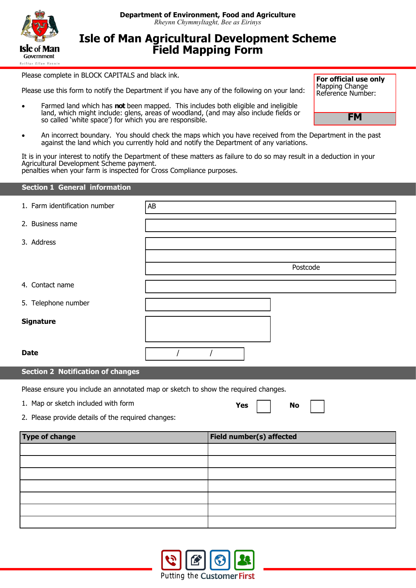

## **Isle of Man Agricultural Development Scheme Field Mapping Form**

Please complete in BLOCK CAPITALS and black ink.

Please use this form to notify the Department if you have any of the following on your land:

 Farmed land which has **not** been mapped. This includes both eligible and ineligible land, which might include: glens, areas of woodland, (and may also include fields or so called 'white space') for which you are responsible.

**For official use only** Mapping Change Reference Number:

**FM**

 An incorrect boundary. You should check the maps which you have received from the Department in the past against the land which you currently hold and notify the Department of any variations.

It is in your interest to notify the Department of these matters as failure to do so may result in a deduction in your Agricultural Development Scheme payment.

penalties when your farm is inspected for Cross Compliance purposes.

| <b>Section 1 General information</b>     |    |          |  |  |  |
|------------------------------------------|----|----------|--|--|--|
| 1. Farm identification number            | AB |          |  |  |  |
| 2. Business name                         |    |          |  |  |  |
| 3. Address                               |    |          |  |  |  |
|                                          |    |          |  |  |  |
|                                          |    | Postcode |  |  |  |
| 4. Contact name                          |    |          |  |  |  |
| 5. Telephone number                      |    |          |  |  |  |
| <b>Signature</b>                         |    |          |  |  |  |
|                                          |    |          |  |  |  |
| <b>Date</b>                              |    |          |  |  |  |
| <b>Section 2 Notification of changes</b> |    |          |  |  |  |

Please ensure you include an annotated map or sketch to show the required changes.

1. Map or sketch included with form

Yes I I No

2. Please provide details of the required changes:

| <b>Type of change</b> | Field number(s) affected |
|-----------------------|--------------------------|
|                       |                          |
|                       |                          |
|                       |                          |
|                       |                          |
|                       |                          |
|                       |                          |
|                       |                          |